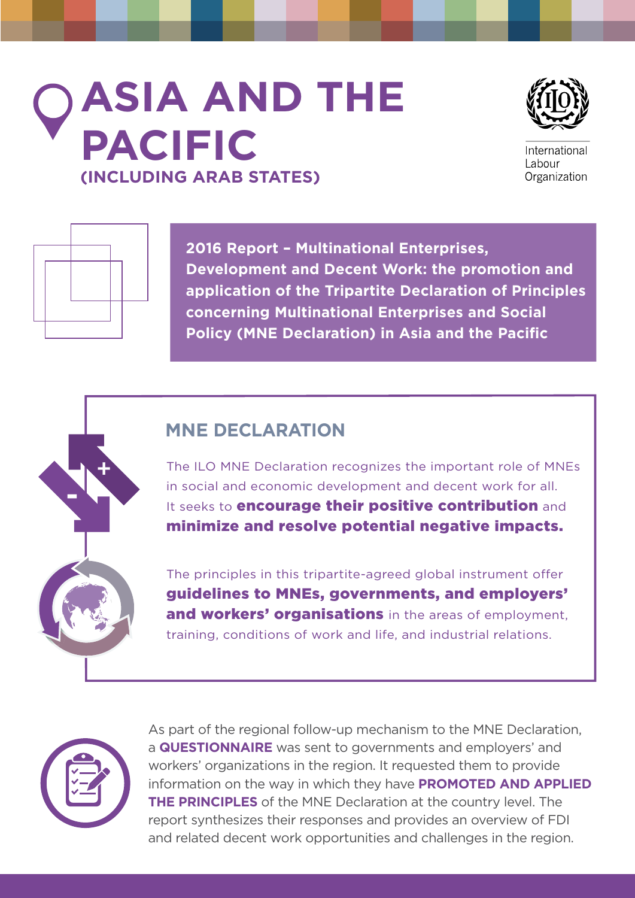# **ASIA AND THE PACIFIC (INCLUDING ARAB STATES)**



International Labour Organization



 $\ddot{}$ 

-

**2016 Report – Multinational Enterprises, Development and Decent Work: the promotion and application of the Tripartite Declaration of Principles concerning Multinational Enterprises and Social Policy (MNE Declaration) in Asia and the Pacific**

# **MNE DECLARATION**

The ILO MNE Declaration recognizes the important role of MNEs in social and economic development and decent work for all. It seeks to **encourage their positive contribution** and minimize and resolve potential negative impacts.

The principles in this tripartite-agreed global instrument offer guidelines to MNEs, governments, and employers' and workers' organisations in the areas of employment, training, conditions of work and life, and industrial relations.



As part of the regional follow-up mechanism to the MNE Declaration, a **QUESTIONNAIRE** was sent to governments and employers' and workers' organizations in the region. It requested them to provide information on the way in which they have **PROMOTED AND APPLIED THE PRINCIPLES** of the MNE Declaration at the country level. The report synthesizes their responses and provides an overview of FDI and related decent work opportunities and challenges in the region.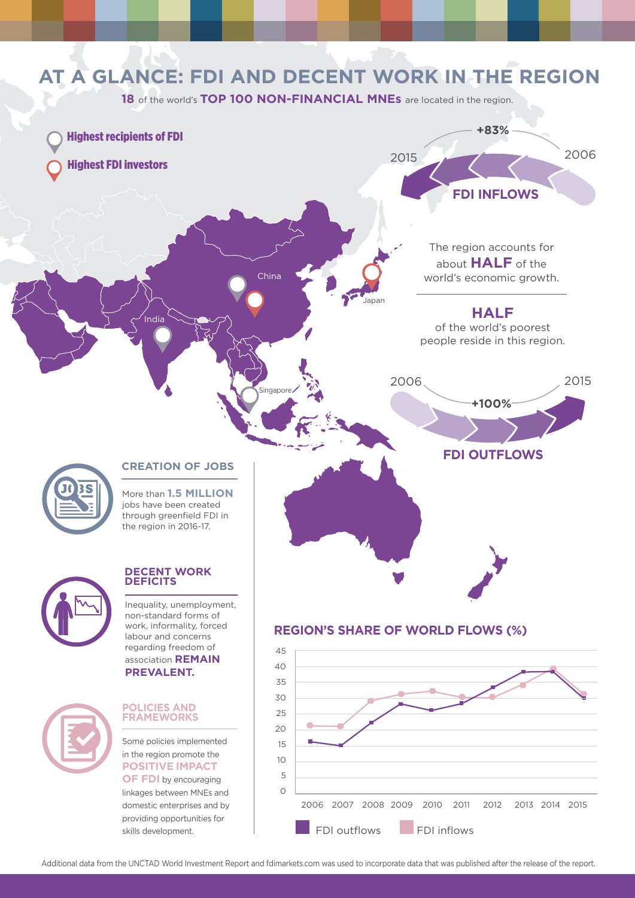### **AT A GLANCE: FDI AND DECENT WORK IN THE REGION** 18 of the world's TOP 100 NON-FINANCIAL MNEs are located in the region. 2015 2006 **+83% FDI INFLOWS** 2006 2015 **+100% FDI OUTFLOWS** Highest recipients of FDI Highest FDI investors **HALF** of the world's poorest people reside in this region. The region accounts for about **HALF** of the world's economic growth. **CREATION OF JOBS** More than **1.5 MILLION** jobs have been created through greenfield FDI in the region in 2016-17. **REGION'S SHARE OF WORLD FLOWS (%) DECENT WORK DEFICITS**  Inequality, unemployment, non-standard forms of work, informality, forced labour and concerns China ndia dano Japan



### **POLICIES AND FRAMEWORKS**

regarding freedom of association **REMAIN PREVALENT.**

Some policies implemented in the region promote the **POSITIVE IMPACT OF FDI** by encouraging

linkages between MNEs and domestic enterprises and by providing opportunities for skills development.



Additional data from the UNCTAD World Investment Report and fdimarkets.com was used to incorporate data that was published after the release of the report.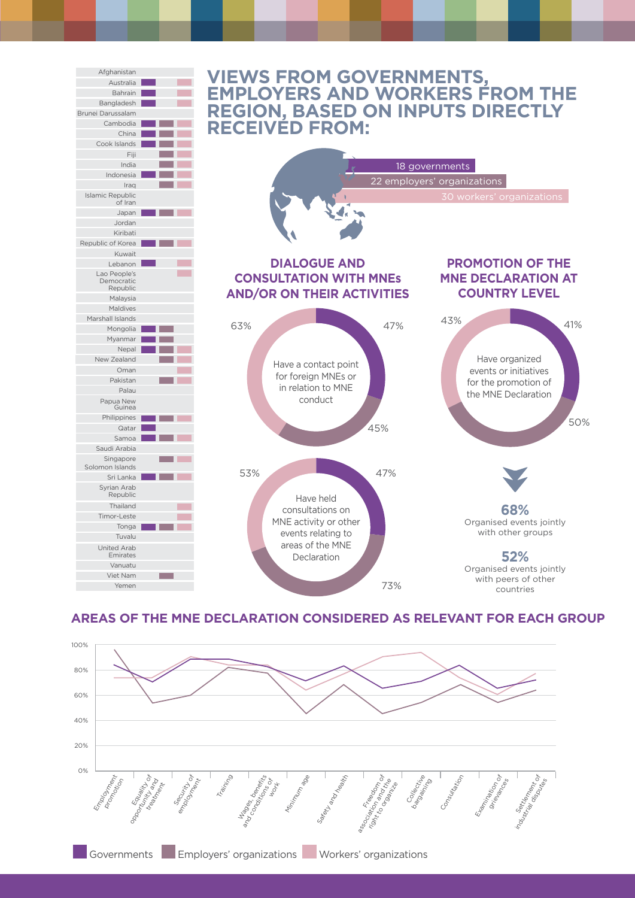

### **AREAS OF THE MNE DECLARATION CONSIDERED AS RELEVANT FOR EACH GROUP**